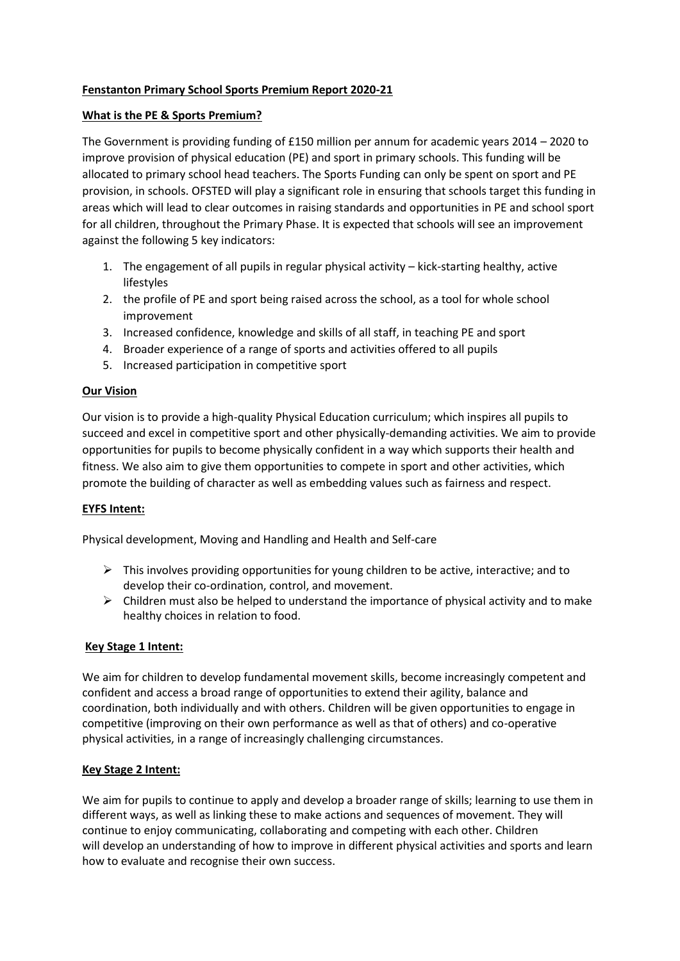# **Fenstanton Primary School Sports Premium Report 2020-21**

## **What is the PE & Sports Premium?**

The Government is providing funding of £150 million per annum for academic years 2014 – 2020 to improve provision of physical education (PE) and sport in primary schools. This funding will be allocated to primary school head teachers. The Sports Funding can only be spent on sport and PE provision, in schools. OFSTED will play a significant role in ensuring that schools target this funding in areas which will lead to clear outcomes in raising standards and opportunities in PE and school sport for all children, throughout the Primary Phase. It is expected that schools will see an improvement against the following 5 key indicators:

- 1. The engagement of all pupils in regular physical activity kick-starting healthy, active lifestyles
- 2. the profile of PE and sport being raised across the school, as a tool for whole school improvement
- 3. Increased confidence, knowledge and skills of all staff, in teaching PE and sport
- 4. Broader experience of a range of sports and activities offered to all pupils
- 5. Increased participation in competitive sport

## **Our Vision**

Our vision is to provide a high-quality Physical Education curriculum; which inspires all pupils to succeed and excel in competitive sport and other physically-demanding activities. We aim to provide opportunities for pupils to become physically confident in a way which supports their health and fitness. We also aim to give them opportunities to compete in sport and other activities, which promote the building of character as well as embedding values such as fairness and respect.

#### **EYFS Intent:**

Physical development, Moving and Handling and Health and Self-care

- $\triangleright$  This involves providing opportunities for young children to be active, interactive; and to develop their co-ordination, control, and movement.
- $\triangleright$  Children must also be helped to understand the importance of physical activity and to make healthy choices in relation to food.

#### **Key Stage 1 Intent:**

We aim for children to develop fundamental movement skills, become increasingly competent and confident and access a broad range of opportunities to extend their agility, balance and coordination, both individually and with others. Children will be given opportunities to engage in competitive (improving on their own performance as well as that of others) and co-operative physical activities, in a range of increasingly challenging circumstances.

# **Key Stage 2 Intent:**

We aim for pupils to continue to apply and develop a broader range of skills; learning to use them in different ways, as well as linking these to make actions and sequences of movement. They will continue to enjoy communicating, collaborating and competing with each other. Children will develop an understanding of how to improve in different physical activities and sports and learn how to evaluate and recognise their own success.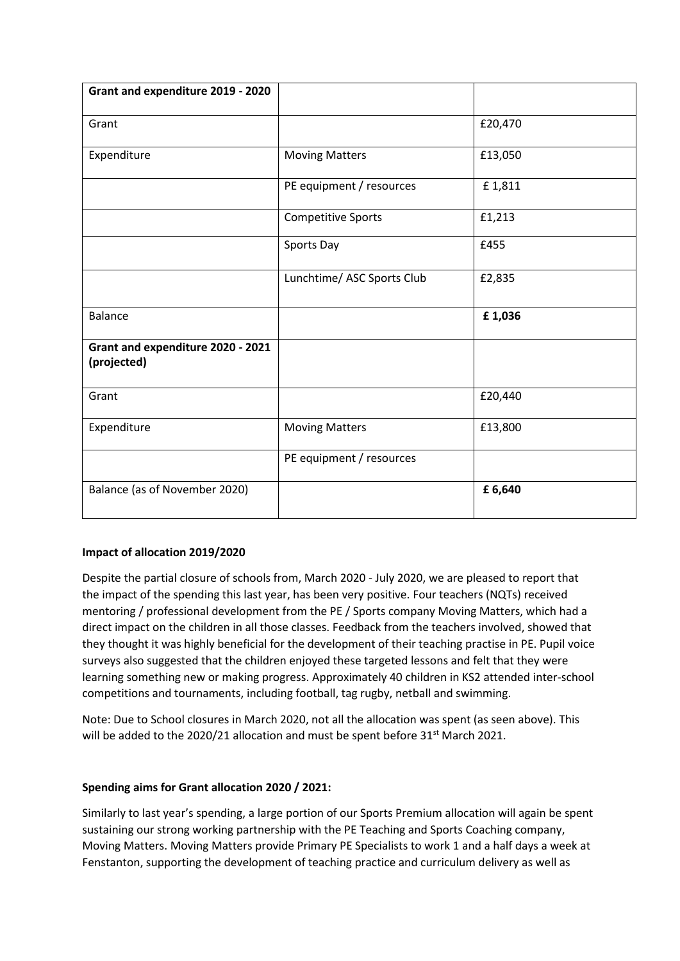| Grant and expenditure 2019 - 2020                |                            |         |
|--------------------------------------------------|----------------------------|---------|
| Grant                                            |                            | £20,470 |
| Expenditure                                      | <b>Moving Matters</b>      | £13,050 |
|                                                  | PE equipment / resources   | £1,811  |
|                                                  | <b>Competitive Sports</b>  | £1,213  |
|                                                  | Sports Day                 | £455    |
|                                                  | Lunchtime/ ASC Sports Club | £2,835  |
| <b>Balance</b>                                   |                            | £1,036  |
| Grant and expenditure 2020 - 2021<br>(projected) |                            |         |
| Grant                                            |                            | £20,440 |
| Expenditure                                      | <b>Moving Matters</b>      | £13,800 |
|                                                  | PE equipment / resources   |         |
| Balance (as of November 2020)                    |                            | £6,640  |

# **Impact of allocation 2019/2020**

Despite the partial closure of schools from, March 2020 - July 2020, we are pleased to report that the impact of the spending this last year, has been very positive. Four teachers (NQTs) received mentoring / professional development from the PE / Sports company Moving Matters, which had a direct impact on the children in all those classes. Feedback from the teachers involved, showed that they thought it was highly beneficial for the development of their teaching practise in PE. Pupil voice surveys also suggested that the children enjoyed these targeted lessons and felt that they were learning something new or making progress. Approximately 40 children in KS2 attended inter-school competitions and tournaments, including football, tag rugby, netball and swimming.

Note: Due to School closures in March 2020, not all the allocation was spent (as seen above). This will be added to the 2020/21 allocation and must be spent before 31<sup>st</sup> March 2021.

# **Spending aims for Grant allocation 2020 / 2021:**

Similarly to last year's spending, a large portion of our Sports Premium allocation will again be spent sustaining our strong working partnership with the PE Teaching and Sports Coaching company, Moving Matters. Moving Matters provide Primary PE Specialists to work 1 and a half days a week at Fenstanton, supporting the development of teaching practice and curriculum delivery as well as